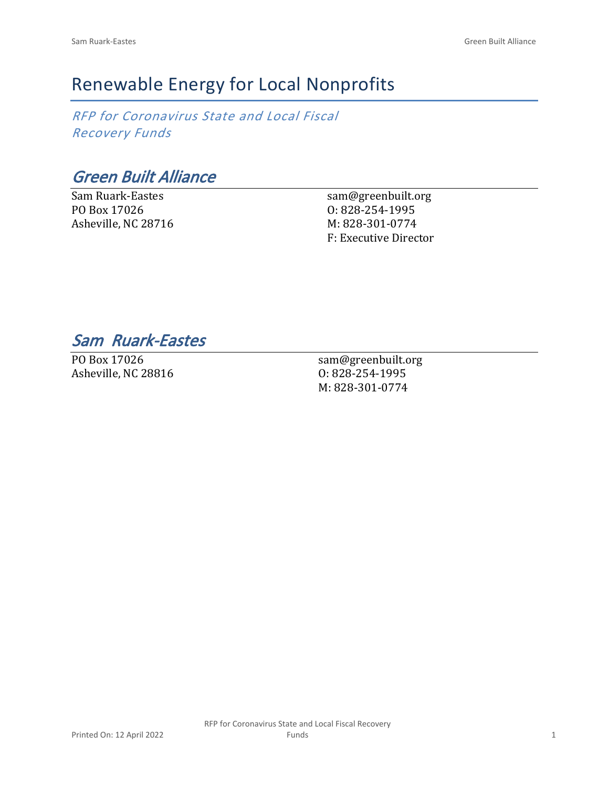## Renewable Energy for Local Nonprofits

*RFP for Coronavirus State and Local Fiscal Recovery Funds*

*Green Built Alliance*

Sam Ruark-Eastes PO Box 17026 Asheville, NC 28716 sam@greenbuilt.org O: 828-254-1995 M: 828-301-0774 F: Executive Director

*Sam Ruark-Eastes* 

PO Box 17026 Asheville, NC 28816

sam@greenbuilt.org O: 828-254-1995 M: 828-301-0774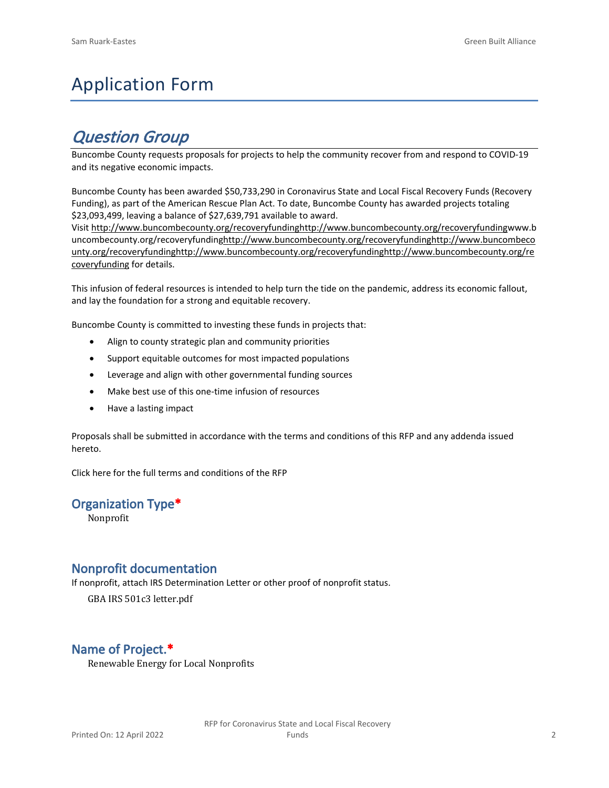# Application Form

## *Question Group*

Buncombe County requests proposals for projects to help the community recover from and respond to COVID-19 and its negative economic impacts.

Buncombe County has been awarded \$50,733,290 in Coronavirus State and Local Fiscal Recovery Funds (Recovery Funding), as part of the American Rescue Plan Act. To date, Buncombe County has awarded projects totaling \$23,093,499, leaving a balance of \$27,639,791 available to award.

Visit [http://www.buncombecounty.org/recoveryfundinghttp://www.buncombecounty.org/recoveryfundingwww.b](http://www.buncombecounty.org/recoveryfunding) [uncombecounty.org/recoveryfundinghttp://www.buncombecounty.org/recoveryfundinghttp://www.buncombeco](http://www.buncombecounty.org/recoveryfunding) [unty.org/recoveryfundinghttp://www.buncombecounty.org/recoveryfundinghttp://www.buncombecounty.org/re](http://www.buncombecounty.org/recoveryfunding) [coveryfunding](http://www.buncombecounty.org/recoveryfunding) for details.

This infusion of federal resources is intended to help turn the tide on the pandemic, address its economic fallout, and lay the foundation for a strong and equitable recovery.

Buncombe County is committed to investing these funds in projects that:

- Align to county strategic plan and community priorities
- Support equitable outcomes for most impacted populations
- Leverage and align with other governmental funding sources
- Make best use of this one-time infusion of resources
- Have a lasting impact

Proposals shall be submitted in accordance with the terms and conditions of this RFP and any addenda issued hereto.

Click [here](https://www.buncombecounty.org/common/purchasing/Buncombe%20Recovery%20Funding%20RFP%202022.pdf) for the full terms and conditions of the RFP

#### **Organization Type\***

Nonprofit

#### **Nonprofit documentation**

If nonprofit, attach IRS Determination Letter or other proof of nonprofit status.

GBA IRS 501c3 letter.pdf

### **Name of Project.\***

Renewable Energy for Local Nonprofits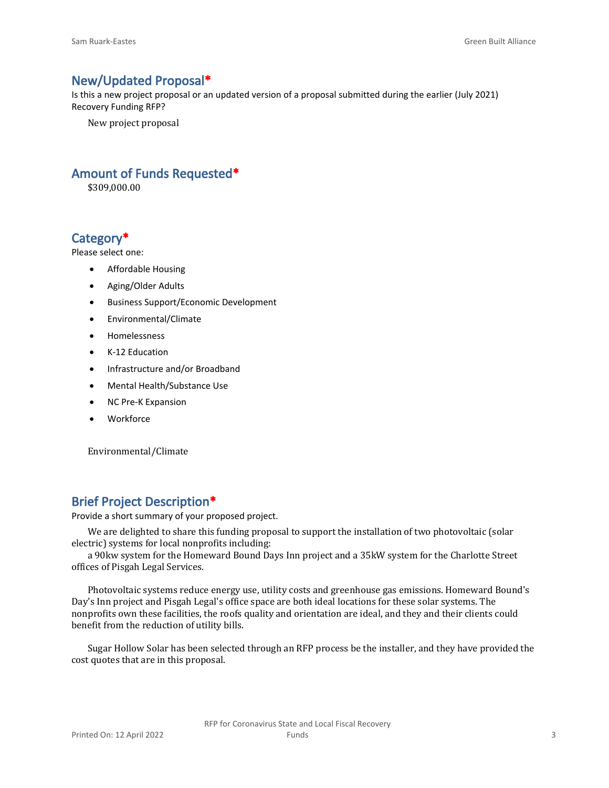#### **New/Updated Proposal\***

Is this a new project proposal or an updated version of a proposal submitted during the earlier (July 2021) Recovery Funding RFP?

New project proposal

## **Amount of Funds Requested\***

\$309,000.00

#### **Category\***

Please select one:

- Affordable Housing
- Aging/Older Adults
- Business Support/Economic Development
- Environmental/Climate
- Homelessness
- K-12 Education
- Infrastructure and/or Broadband
- Mental Health/Substance Use
- NC Pre-K Expansion
- Workforce

Environmental/Climate

## **Brief Project Description\***

Provide a short summary of your proposed project.

We are delighted to share this funding proposal to support the installation of two photovoltaic (solar electric) systems for local nonprofits including:

a 90kw system for the Homeward Bound Days Inn project and a 35kW system for the Charlotte Street offices of Pisgah Legal Services.

Photovoltaic systems reduce energy use, utility costs and greenhouse gas emissions. Homeward Bound's Day's Inn project and Pisgah Legal's office space are both ideal locations for these solar systems. The nonprofits own these facilities, the roofs quality and orientation are ideal, and they and their clients could benefit from the reduction of utility bills.

Sugar Hollow Solar has been selected through an RFP process be the installer, and they have provided the cost quotes that are in this proposal.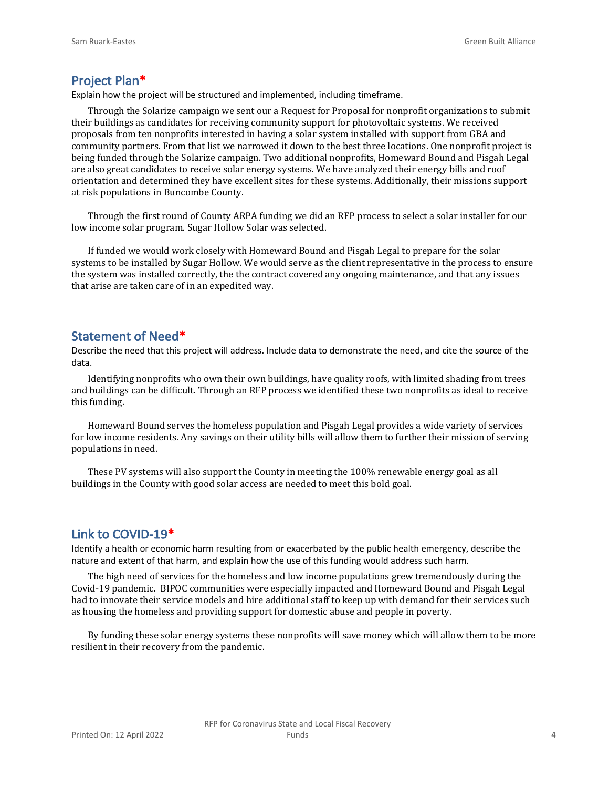#### **Project Plan\***

Explain how the project will be structured and implemented, including timeframe.

Through the Solarize campaign we sent our a Request for Proposal for nonprofit organizations to submit their buildings as candidates for receiving community support for photovoltaic systems. We received proposals from ten nonprofits interested in having a solar system installed with support from GBA and community partners. From that list we narrowed it down to the best three locations. One nonprofit project is being funded through the Solarize campaign. Two additional nonprofits, Homeward Bound and Pisgah Legal are also great candidates to receive solar energy systems. We have analyzed their energy bills and roof orientation and determined they have excellent sites for these systems. Additionally, their missions support at risk populations in Buncombe County.

Through the first round of County ARPA funding we did an RFP process to select a solar installer for our low income solar program. Sugar Hollow Solar was selected.

If funded we would work closely with Homeward Bound and Pisgah Legal to prepare for the solar systems to be installed by Sugar Hollow. We would serve as the client representative in the process to ensure the system was installed correctly, the the contract covered any ongoing maintenance, and that any issues that arise are taken care of in an expedited way.

#### **Statement of Need\***

Describe the need that this project will address. Include data to demonstrate the need, and cite the source of the data.

Identifying nonprofits who own their own buildings, have quality roofs, with limited shading from trees and buildings can be difficult. Through an RFP process we identified these two nonprofits as ideal to receive this funding.

Homeward Bound serves the homeless population and Pisgah Legal provides a wide variety of services for low income residents. Any savings on their utility bills will allow them to further their mission of serving populations in need.

These PV systems will also support the County in meeting the 100% renewable energy goal as all buildings in the County with good solar access are needed to meet this bold goal.

#### **Link to COVID-19\***

Identify a health or economic harm resulting from or exacerbated by the public health emergency, describe the nature and extent of that harm, and explain how the use of this funding would address such harm.

The high need of services for the homeless and low income populations grew tremendously during the Covid-19 pandemic. BIPOC communities were especially impacted and Homeward Bound and Pisgah Legal had to innovate their service models and hire additional staff to keep up with demand for their services such as housing the homeless and providing support for domestic abuse and people in poverty.

By funding these solar energy systems these nonprofits will save money which will allow them to be more resilient in their recovery from the pandemic.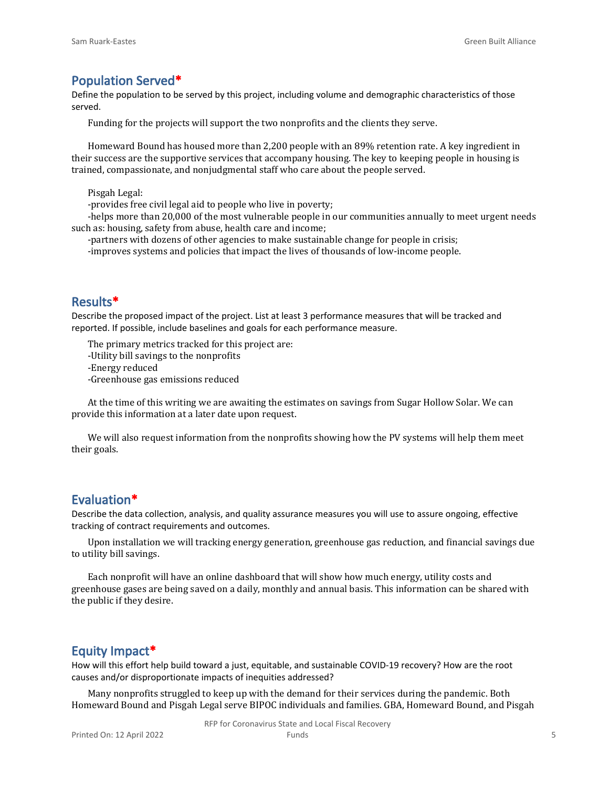#### **Population Served\***

Define the population to be served by this project, including volume and demographic characteristics of those served.

Funding for the projects will support the two nonprofits and the clients they serve.

Homeward Bound has housed more than 2,200 people with an 89% retention rate. A key ingredient in their success are the supportive services that accompany housing. The key to keeping people in housing is trained, compassionate, and nonjudgmental staff who care about the people served.

Pisgah Legal:

-provides free civil legal aid to people who live in poverty;

-helps more than 20,000 of the most vulnerable people in our communities annually to meet urgent needs such as: housing, safety from abuse, health care and income;

-partners with dozens of other agencies to make sustainable change for people in crisis;

-improves systems and policies that impact the lives of thousands of low-income people.

#### **Results\***

Describe the proposed impact of the project. List at least 3 performance measures that will be tracked and reported. If possible, include baselines and goals for each performance measure.

The primary metrics tracked for this project are:

-Utility bill savings to the nonprofits

-Energy reduced

-Greenhouse gas emissions reduced

At the time of this writing we are awaiting the estimates on savings from Sugar Hollow Solar. We can provide this information at a later date upon request.

We will also request information from the nonprofits showing how the PV systems will help them meet their goals.

#### **Evaluation\***

Describe the data collection, analysis, and quality assurance measures you will use to assure ongoing, effective tracking of contract requirements and outcomes.

Upon installation we will tracking energy generation, greenhouse gas reduction, and financial savings due to utility bill savings.

Each nonprofit will have an online dashboard that will show how much energy, utility costs and greenhouse gases are being saved on a daily, monthly and annual basis. This information can be shared with the public if they desire.

#### **Equity Impact\***

How will this effort help build toward a just, equitable, and sustainable COVID-19 recovery? How are the root causes and/or disproportionate impacts of inequities addressed?

Many nonprofits struggled to keep up with the demand for their services during the pandemic. Both Homeward Bound and Pisgah Legal serve BIPOC individuals and families. GBA, Homeward Bound, and Pisgah

RFP for Coronavirus State and Local Fiscal Recovery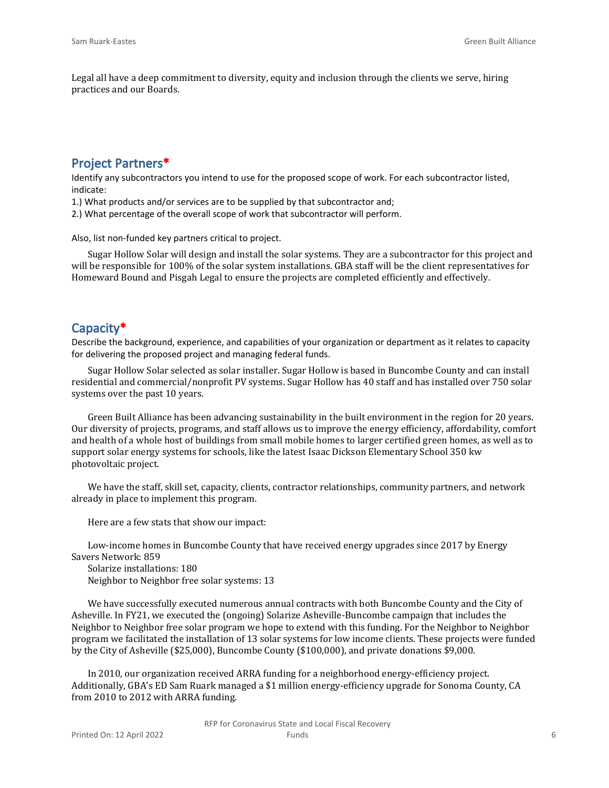Legal all have a deep commitment to diversity, equity and inclusion through the clients we serve, hiring practices and our Boards.

### **Project Partners\***

Identify any subcontractors you intend to use for the proposed scope of work. For each subcontractor listed, indicate:

1.) What products and/or services are to be supplied by that subcontractor and;

2.) What percentage of the overall scope of work that subcontractor will perform.

Also, list non-funded key partners critical to project.

Sugar Hollow Solar will design and install the solar systems. They are a subcontractor for this project and will be responsible for 100% of the solar system installations. GBA staff will be the client representatives for Homeward Bound and Pisgah Legal to ensure the projects are completed efficiently and effectively.

#### **Capacity\***

Describe the background, experience, and capabilities of your organization or department as it relates to capacity for delivering the proposed project and managing federal funds.

Sugar Hollow Solar selected as solar installer. Sugar Hollow is based in Buncombe County and can install residential and commercial/nonprofit PV systems. Sugar Hollow has 40 staff and has installed over 750 solar systems over the past 10 years.

Green Built Alliance has been advancing sustainability in the built environment in the region for 20 years. Our diversity of projects, programs, and staff allows us to improve the energy efficiency, affordability, comfort and health of a whole host of buildings from small mobile homes to larger certified green homes, as well as to support solar energy systems for schools, like the latest Isaac Dickson Elementary School 350 kw photovoltaic project.

We have the staff, skill set, capacity, clients, contractor relationships, community partners, and network already in place to implement this program.

Here are a few stats that show our impact:

Low-income homes in Buncombe County that have received energy upgrades since 2017 by Energy Savers Network: 859

Solarize installations: 180 Neighbor to Neighbor free solar systems: 13

We have successfully executed numerous annual contracts with both Buncombe County and the City of Asheville. In FY21, we executed the (ongoing) Solarize Asheville-Buncombe campaign that includes the Neighbor to Neighbor free solar program we hope to extend with this funding. For the Neighbor to Neighbor program we facilitated the installation of 13 solar systems for low income clients. These projects were funded by the City of Asheville (\$25,000), Buncombe County (\$100,000), and private donations \$9,000.

In 2010, our organization received ARRA funding for a neighborhood energy-efficiency project. Additionally, GBA's ED Sam Ruark managed a \$1 million energy-efficiency upgrade for Sonoma County, CA from 2010 to 2012 with ARRA funding.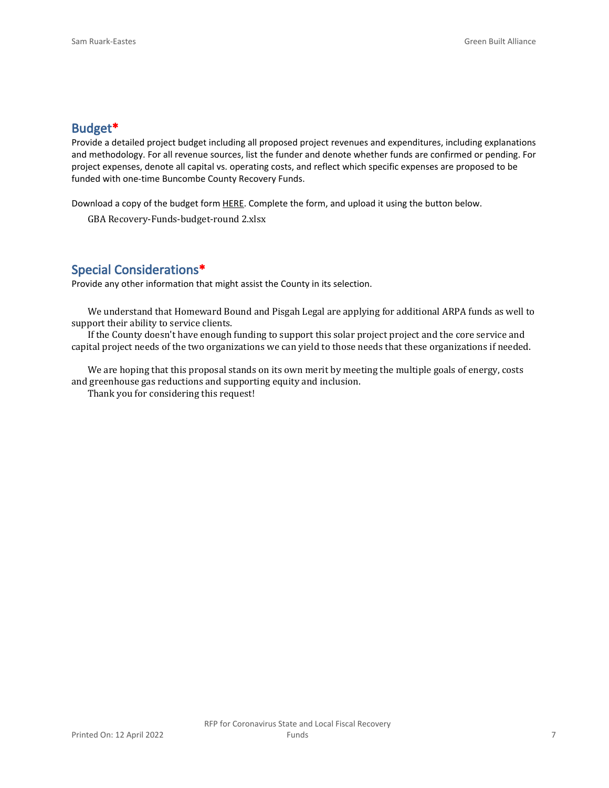#### **Budget\***

Provide a detailed project budget including all proposed project revenues and expenditures, including explanations and methodology. For all revenue sources, list the funder and denote whether funds are confirmed or pending. For project expenses, denote all capital vs. operating costs, and reflect which specific expenses are proposed to be funded with one-time Buncombe County Recovery Funds.

Download a copy of the budget form [HERE](https://buncombecounty.org/common/community-investment/grants/early-childhood-education/Recovery-Funds-budget-template.xlsx). Complete the form, and upload it using the button below.

GBA Recovery-Funds-budget-round 2.xlsx

### **Special Considerations\***

Provide any other information that might assist the County in its selection.

We understand that Homeward Bound and Pisgah Legal are applying for additional ARPA funds as well to support their ability to service clients.

If the County doesn't have enough funding to support this solar project project and the core service and capital project needs of the two organizations we can yield to those needs that these organizations if needed.

We are hoping that this proposal stands on its own merit by meeting the multiple goals of energy, costs and greenhouse gas reductions and supporting equity and inclusion.

Thank you for considering this request!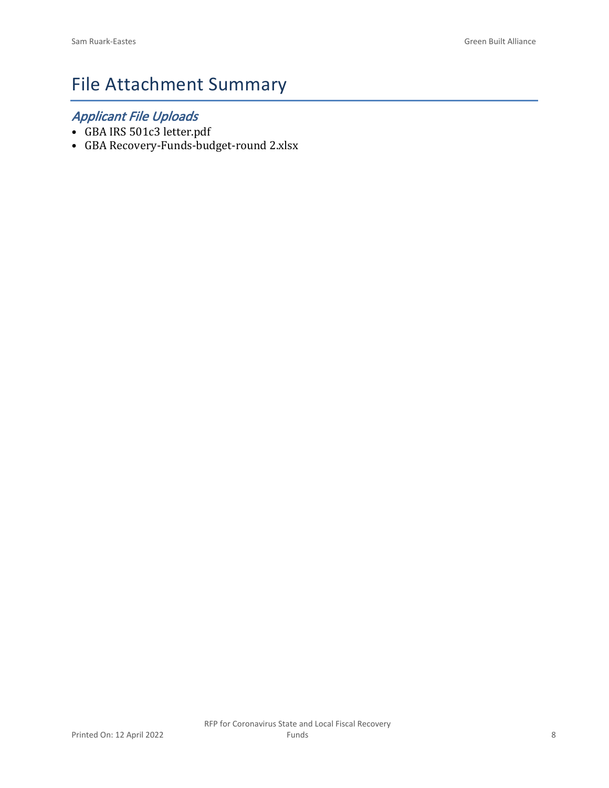# File Attachment Summary

## *Applicant File Uploads*

- GBA IRS 501c3 letter.pdf
- GBA Recovery-Funds-budget-round 2.xlsx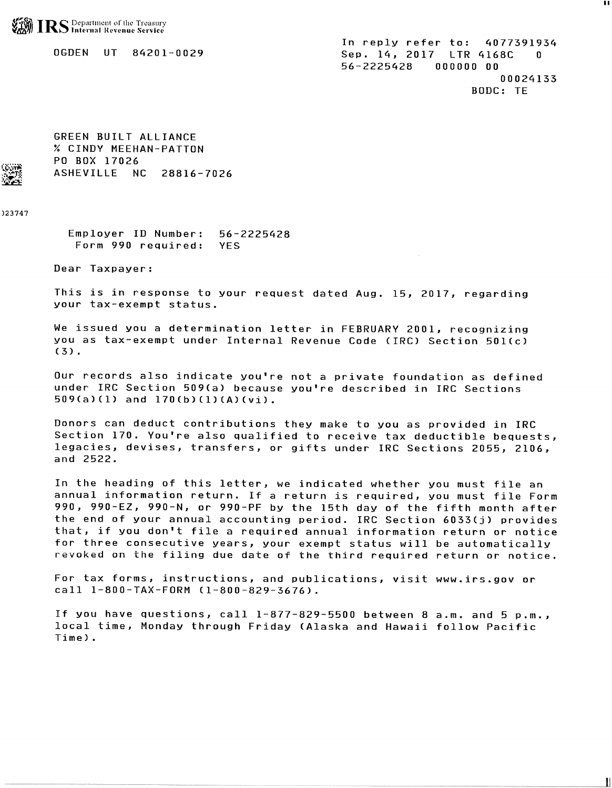

0GDEN UT 84201-0029

In reply refer to: 4077391934 Sep. 14, 2017 LTR 4168C  $\Omega$ 56-2225428 000000 00 00024133 BODC: TE

11

GREEN BUILT ALLIANCE % CINDY MEEHAN-PATTON PO BOX 17026 ASHEVILLE NC 28816-7026

023747

Employer ID Number: 56-2225428 Form 990 required: **YES** 

Dear Taxpayer:

This is in response to your request dated Aug. 15, 2017, regarding your tax-exempt status.

We issued you a determination letter in FEBRUARY 2001, recognizing you as tax-exempt under Internal Revenue Code (IRC) Section 501(c)  $(3)$ .

Our records also indicate you're not a private foundation as defined under IRC Section 509(a) because you're described in IRC Sections  $509(a)(1)$  and  $170(b)(1)(A)(vi)$ .

Donors can deduct contributions they make to you as provided in IRC Section 170. You're also qualified to receive tax deductible bequests, legacies, devises, transfers, or gifts under IRC Sections 2055, 2106, and 2522.

In the heading of this letter, we indicated whether you must file an annual information return. If a return is required, you must file Form 990, 990-EZ, 990-N, or 990-PF by the 15th day of the fifth month after the end of your annual accounting period. IRC Section 6033(j) provides that, if you don't file a required annual information return or notice for three consecutive years, your exempt status will be automatically revoked on the filing due date of the third required return or notice.

For tax forms, instructions, and publications, visit www.irs.gov or call 1-800-TAX-FORM (1-800-829-3676).

If you have questions, call 1-877-829-5500 between 8 a.m. and 5 p.m., local time, Monday through Friday (Alaska and Hawaii follow Pacific Time).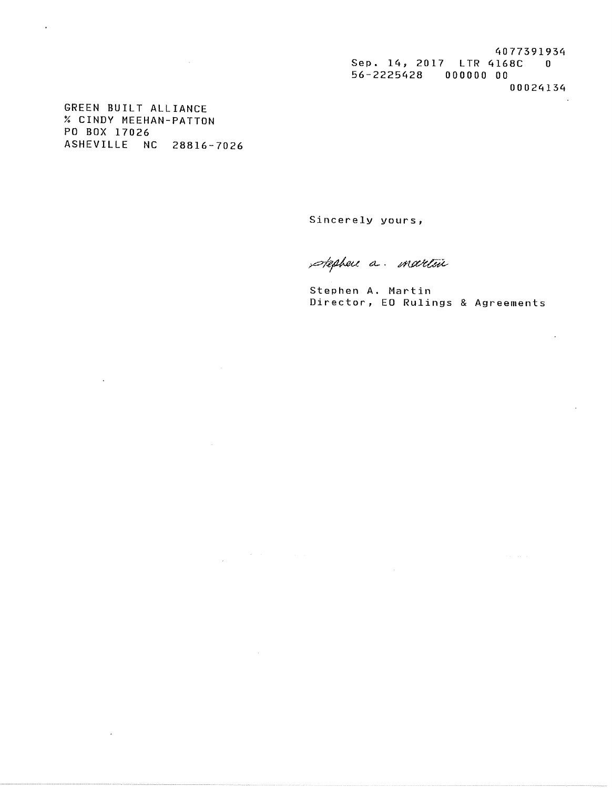4077391934 Sep. 14, 2017 LTR 4168C 0 56-2225428 000000 00 00024134

GREEN BUILT ALLIANCE % CINDY MEEHAN-PATTON PO BOX 17026 ASHEVILLE NC 28816-7026

 $\sim$ 

 $\sim 10^{-1}$ 

 $\hat{\boldsymbol{\beta}}$ 

 $\sim$ 

 $\cdot$ 

Sincerely yours,

stephen a. martin

Stephen A. Martin Director, EO Rulings & Agreements